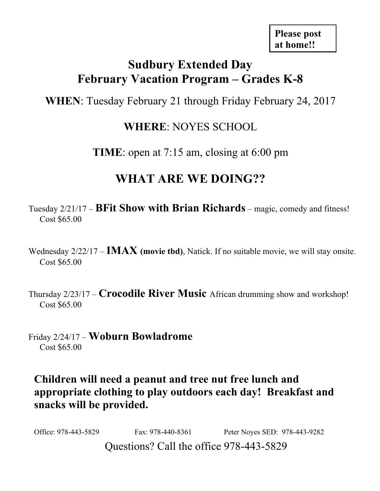# **Sudbury Extended Day February Vacation Program – Grades K-8**

**WHEN**: Tuesday February 21 through Friday February 24, 2017

### **WHERE**: NOYES SCHOOL

**TIME**: open at 7:15 am, closing at 6:00 pm

# **WHAT ARE WE DOING??**

Tuesday 2/21/17 – **BFit Show with Brian Richards** – magic, comedy and fitness! Cost \$65.00

Wednesday 2/22/17 – **IMAX (movie tbd)**, Natick. If no suitable movie, we will stay onsite. Cost \$65.00

Thursday 2/23/17 – **Crocodile River Music** African drumming show and workshop! Cost \$65.00

Friday 2/24/17 – **Woburn Bowladrome** Cost \$65.00

**Children will need a peanut and tree nut free lunch and appropriate clothing to play outdoors each day! Breakfast and snacks will be provided.** 

Questions? Call the office 978-443-5829 Office: 978-443-5829 Fax: 978-440-8361 Peter Noyes SED: 978-443-9282